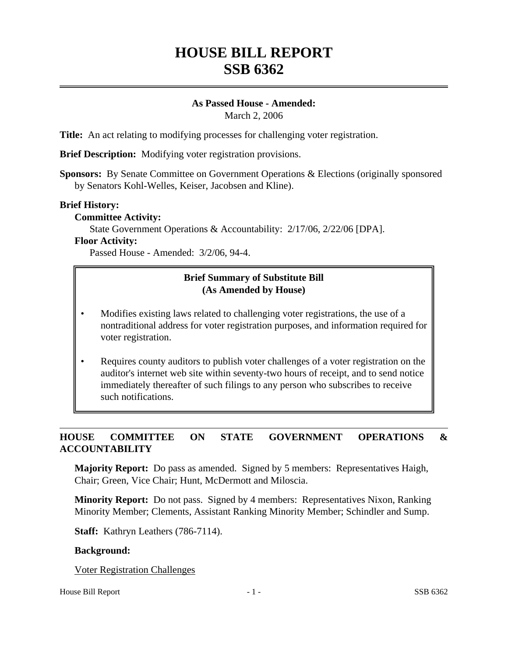# **HOUSE BILL REPORT SSB 6362**

# **As Passed House - Amended:**

March 2, 2006

**Title:** An act relating to modifying processes for challenging voter registration.

**Brief Description:** Modifying voter registration provisions.

**Sponsors:** By Senate Committee on Government Operations & Elections (originally sponsored by Senators Kohl-Welles, Keiser, Jacobsen and Kline).

### **Brief History:**

### **Committee Activity:**

State Government Operations & Accountability: 2/17/06, 2/22/06 [DPA].

### **Floor Activity:**

Passed House - Amended: 3/2/06, 94-4.

# **Brief Summary of Substitute Bill (As Amended by House)**

- Modifies existing laws related to challenging voter registrations, the use of a nontraditional address for voter registration purposes, and information required for voter registration.
- Requires county auditors to publish voter challenges of a voter registration on the auditor's internet web site within seventy-two hours of receipt, and to send notice immediately thereafter of such filings to any person who subscribes to receive such notifications.

# **HOUSE COMMITTEE ON STATE GOVERNMENT OPERATIONS & ACCOUNTABILITY**

**Majority Report:** Do pass as amended. Signed by 5 members: Representatives Haigh, Chair; Green, Vice Chair; Hunt, McDermott and Miloscia.

**Minority Report:** Do not pass. Signed by 4 members: Representatives Nixon, Ranking Minority Member; Clements, Assistant Ranking Minority Member; Schindler and Sump.

**Staff:** Kathryn Leathers (786-7114).

#### **Background:**

Voter Registration Challenges

#### House Bill Report **1** - 1 - SSB 6362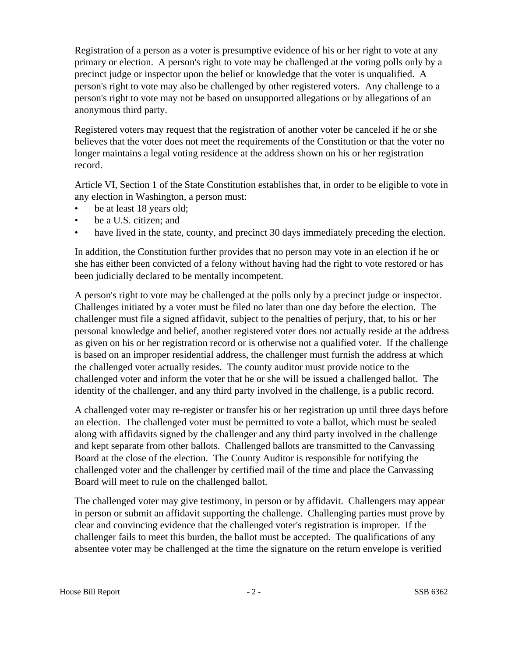Registration of a person as a voter is presumptive evidence of his or her right to vote at any primary or election. A person's right to vote may be challenged at the voting polls only by a precinct judge or inspector upon the belief or knowledge that the voter is unqualified. A person's right to vote may also be challenged by other registered voters. Any challenge to a person's right to vote may not be based on unsupported allegations or by allegations of an anonymous third party.

Registered voters may request that the registration of another voter be canceled if he or she believes that the voter does not meet the requirements of the Constitution or that the voter no longer maintains a legal voting residence at the address shown on his or her registration record.

Article VI, Section 1 of the State Constitution establishes that, in order to be eligible to vote in any election in Washington, a person must:

- be at least 18 years old;
- be a U.S. citizen; and
- have lived in the state, county, and precinct 30 days immediately preceding the election.

In addition, the Constitution further provides that no person may vote in an election if he or she has either been convicted of a felony without having had the right to vote restored or has been judicially declared to be mentally incompetent.

A person's right to vote may be challenged at the polls only by a precinct judge or inspector. Challenges initiated by a voter must be filed no later than one day before the election. The challenger must file a signed affidavit, subject to the penalties of perjury, that, to his or her personal knowledge and belief, another registered voter does not actually reside at the address as given on his or her registration record or is otherwise not a qualified voter. If the challenge is based on an improper residential address, the challenger must furnish the address at which the challenged voter actually resides. The county auditor must provide notice to the challenged voter and inform the voter that he or she will be issued a challenged ballot. The identity of the challenger, and any third party involved in the challenge, is a public record.

A challenged voter may re-register or transfer his or her registration up until three days before an election. The challenged voter must be permitted to vote a ballot, which must be sealed along with affidavits signed by the challenger and any third party involved in the challenge and kept separate from other ballots. Challenged ballots are transmitted to the Canvassing Board at the close of the election. The County Auditor is responsible for notifying the challenged voter and the challenger by certified mail of the time and place the Canvassing Board will meet to rule on the challenged ballot.

The challenged voter may give testimony, in person or by affidavit. Challengers may appear in person or submit an affidavit supporting the challenge. Challenging parties must prove by clear and convincing evidence that the challenged voter's registration is improper. If the challenger fails to meet this burden, the ballot must be accepted. The qualifications of any absentee voter may be challenged at the time the signature on the return envelope is verified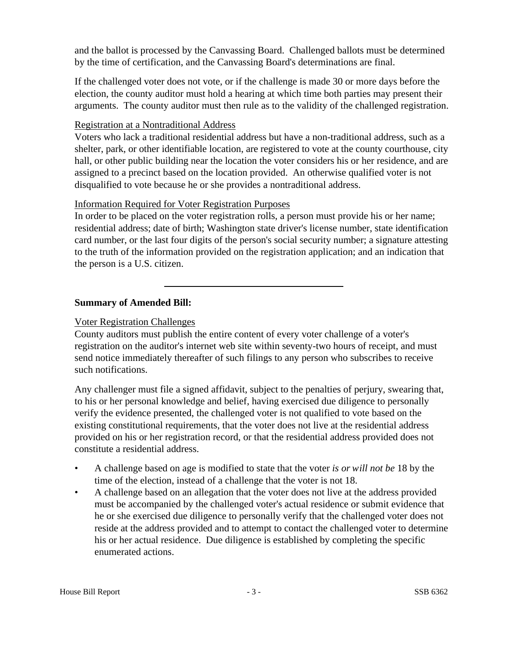and the ballot is processed by the Canvassing Board. Challenged ballots must be determined by the time of certification, and the Canvassing Board's determinations are final.

If the challenged voter does not vote, or if the challenge is made 30 or more days before the election, the county auditor must hold a hearing at which time both parties may present their arguments. The county auditor must then rule as to the validity of the challenged registration.

# Registration at a Nontraditional Address

Voters who lack a traditional residential address but have a non-traditional address, such as a shelter, park, or other identifiable location, are registered to vote at the county courthouse, city hall, or other public building near the location the voter considers his or her residence, and are assigned to a precinct based on the location provided. An otherwise qualified voter is not disqualified to vote because he or she provides a nontraditional address.

# Information Required for Voter Registration Purposes

In order to be placed on the voter registration rolls, a person must provide his or her name; residential address; date of birth; Washington state driver's license number, state identification card number, or the last four digits of the person's social security number; a signature attesting to the truth of the information provided on the registration application; and an indication that the person is a U.S. citizen.

# **Summary of Amended Bill:**

# Voter Registration Challenges

County auditors must publish the entire content of every voter challenge of a voter's registration on the auditor's internet web site within seventy-two hours of receipt, and must send notice immediately thereafter of such filings to any person who subscribes to receive such notifications.

Any challenger must file a signed affidavit, subject to the penalties of perjury, swearing that, to his or her personal knowledge and belief, having exercised due diligence to personally verify the evidence presented, the challenged voter is not qualified to vote based on the existing constitutional requirements, that the voter does not live at the residential address provided on his or her registration record, or that the residential address provided does not constitute a residential address.

- A challenge based on age is modified to state that the voter *is or will not be* 18 by the time of the election, instead of a challenge that the voter is not 18.
- A challenge based on an allegation that the voter does not live at the address provided must be accompanied by the challenged voter's actual residence or submit evidence that he or she exercised due diligence to personally verify that the challenged voter does not reside at the address provided and to attempt to contact the challenged voter to determine his or her actual residence. Due diligence is established by completing the specific enumerated actions.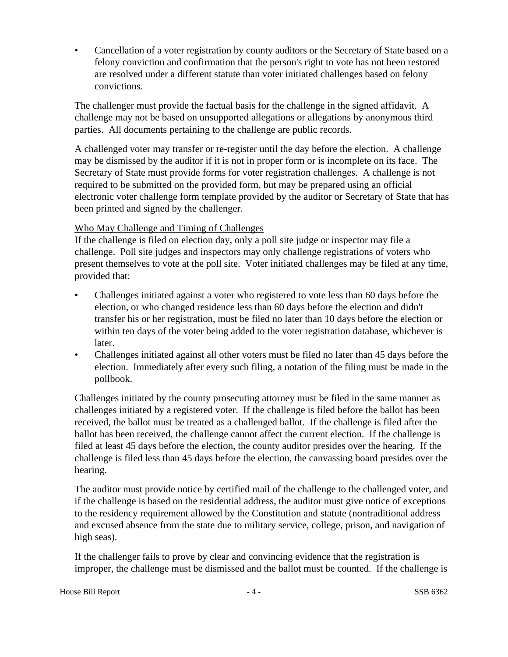• Cancellation of a voter registration by county auditors or the Secretary of State based on a felony conviction and confirmation that the person's right to vote has not been restored are resolved under a different statute than voter initiated challenges based on felony convictions.

The challenger must provide the factual basis for the challenge in the signed affidavit. A challenge may not be based on unsupported allegations or allegations by anonymous third parties. All documents pertaining to the challenge are public records.

A challenged voter may transfer or re-register until the day before the election. A challenge may be dismissed by the auditor if it is not in proper form or is incomplete on its face. The Secretary of State must provide forms for voter registration challenges. A challenge is not required to be submitted on the provided form, but may be prepared using an official electronic voter challenge form template provided by the auditor or Secretary of State that has been printed and signed by the challenger.

# Who May Challenge and Timing of Challenges

If the challenge is filed on election day, only a poll site judge or inspector may file a challenge. Poll site judges and inspectors may only challenge registrations of voters who present themselves to vote at the poll site. Voter initiated challenges may be filed at any time, provided that:

- Challenges initiated against a voter who registered to vote less than 60 days before the election, or who changed residence less than 60 days before the election and didn't transfer his or her registration, must be filed no later than 10 days before the election or within ten days of the voter being added to the voter registration database, whichever is later.
- Challenges initiated against all other voters must be filed no later than 45 days before the election. Immediately after every such filing, a notation of the filing must be made in the pollbook.

Challenges initiated by the county prosecuting attorney must be filed in the same manner as challenges initiated by a registered voter. If the challenge is filed before the ballot has been received, the ballot must be treated as a challenged ballot. If the challenge is filed after the ballot has been received, the challenge cannot affect the current election. If the challenge is filed at least 45 days before the election, the county auditor presides over the hearing. If the challenge is filed less than 45 days before the election, the canvassing board presides over the hearing.

The auditor must provide notice by certified mail of the challenge to the challenged voter, and if the challenge is based on the residential address, the auditor must give notice of exceptions to the residency requirement allowed by the Constitution and statute (nontraditional address and excused absence from the state due to military service, college, prison, and navigation of high seas).

If the challenger fails to prove by clear and convincing evidence that the registration is improper, the challenge must be dismissed and the ballot must be counted. If the challenge is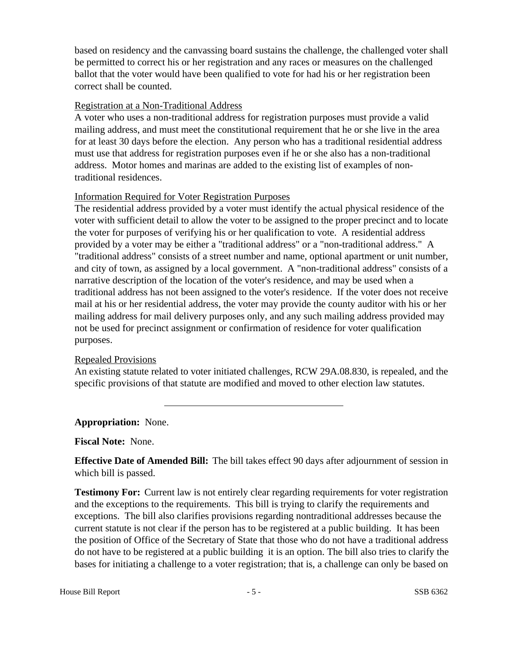based on residency and the canvassing board sustains the challenge, the challenged voter shall be permitted to correct his or her registration and any races or measures on the challenged ballot that the voter would have been qualified to vote for had his or her registration been correct shall be counted.

### Registration at a Non-Traditional Address

A voter who uses a non-traditional address for registration purposes must provide a valid mailing address, and must meet the constitutional requirement that he or she live in the area for at least 30 days before the election. Any person who has a traditional residential address must use that address for registration purposes even if he or she also has a non-traditional address. Motor homes and marinas are added to the existing list of examples of nontraditional residences.

# Information Required for Voter Registration Purposes

The residential address provided by a voter must identify the actual physical residence of the voter with sufficient detail to allow the voter to be assigned to the proper precinct and to locate the voter for purposes of verifying his or her qualification to vote. A residential address provided by a voter may be either a "traditional address" or a "non-traditional address." A "traditional address" consists of a street number and name, optional apartment or unit number, and city of town, as assigned by a local government. A "non-traditional address" consists of a narrative description of the location of the voter's residence, and may be used when a traditional address has not been assigned to the voter's residence. If the voter does not receive mail at his or her residential address, the voter may provide the county auditor with his or her mailing address for mail delivery purposes only, and any such mailing address provided may not be used for precinct assignment or confirmation of residence for voter qualification purposes.

# Repealed Provisions

An existing statute related to voter initiated challenges, RCW 29A.08.830, is repealed, and the specific provisions of that statute are modified and moved to other election law statutes.

# **Appropriation:** None.

**Fiscal Note:** None.

**Effective Date of Amended Bill:** The bill takes effect 90 days after adjournment of session in which bill is passed.

**Testimony For:** Current law is not entirely clear regarding requirements for voter registration and the exceptions to the requirements. This bill is trying to clarify the requirements and exceptions. The bill also clarifies provisions regarding nontraditional addresses because the current statute is not clear if the person has to be registered at a public building. It has been the position of Office of the Secretary of State that those who do not have a traditional address do not have to be registered at a public building it is an option. The bill also tries to clarify the bases for initiating a challenge to a voter registration; that is, a challenge can only be based on